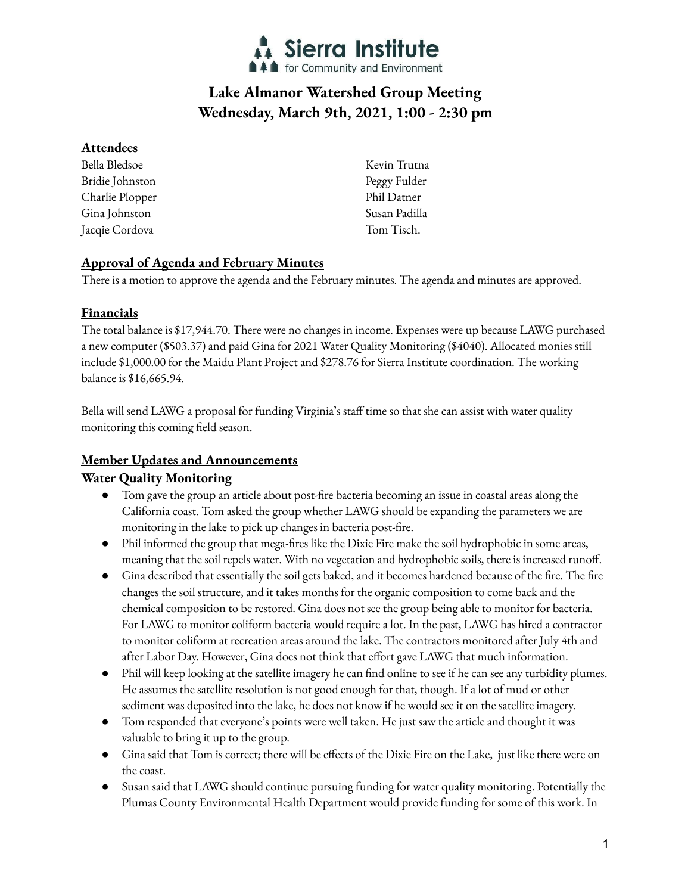

# **Lake Almanor Watershed Group Meeting Wednesday, March 9th, 2021, 1:00 - 2:30 pm**

## **Attendees**

Bella Bledsoe Bridie Johnston Charlie Plopper Gina Johnston Jacqie Cordova

Kevin Trutna Peggy Fulder Phil Datner Susan Padilla Tom Tisch.

# **Approval of Agenda and February Minutes**

There is a motion to approve the agenda and the February minutes. The agenda and minutes are approved.

## **Financials**

The total balance is \$17,944.70. There were no changes in income. Expenses were up because LAWG purchased a new computer (\$503.37) and paid Gina for 2021 Water Quality Monitoring (\$4040). Allocated monies still include \$1,000.00 for the Maidu Plant Project and \$278.76 for Sierra Institute coordination. The working balance is \$16,665.94.

Bella will send LAWG a proposal for funding Virginia's staff time so that she can assist with water quality monitoring this coming field season.

# **Member Updates and Announcements**

## **Water Quality Monitoring**

- Tom gave the group an article about post-fire bacteria becoming an issue in coastal areas along the California coast. Tom asked the group whether LAWG should be expanding the parameters we are monitoring in the lake to pick up changes in bacteria post-fire.
- Phil informed the group that mega-fires like the Dixie Fire make the soil hydrophobic in some areas, meaning that the soil repels water. With no vegetation and hydrophobic soils, there is increased runoff.
- Gina described that essentially the soil gets baked, and it becomes hardened because of the fire. The fire changes the soil structure, and it takes months for the organic composition to come back and the chemical composition to be restored. Gina does not see the group being able to monitor for bacteria. For LAWG to monitor coliform bacteria would require a lot. In the past, LAWG has hired a contractor to monitor coliform at recreation areas around the lake. The contractors monitored after July 4th and after Labor Day. However, Gina does not think that effort gave LAWG that much information.
- Phil will keep looking at the satellite imagery he can find online to see if he can see any turbidity plumes. He assumes the satellite resolution is not good enough for that, though. If a lot of mud or other sediment was deposited into the lake, he does not know if he would see it on the satellite imagery.
- Tom responded that everyone's points were well taken. He just saw the article and thought it was valuable to bring it up to the group.
- Gina said that Tom is correct; there will be effects of the Dixie Fire on the Lake, just like there were on the coast.
- Susan said that LAWG should continue pursuing funding for water quality monitoring. Potentially the Plumas County Environmental Health Department would provide funding for some of this work. In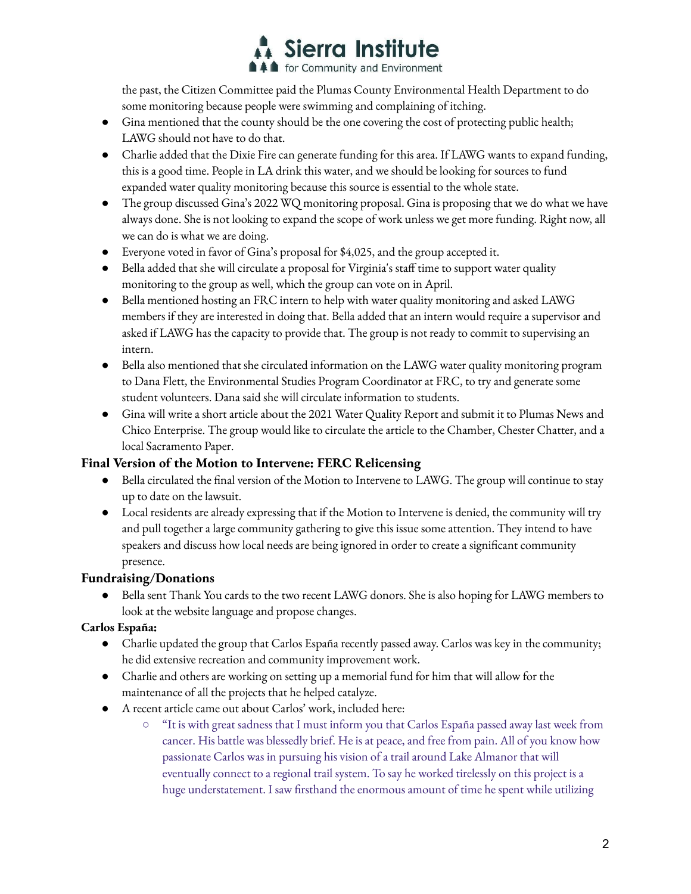

the past, the Citizen Committee paid the Plumas County Environmental Health Department to do some monitoring because people were swimming and complaining of itching.

- Gina mentioned that the county should be the one covering the cost of protecting public health; LAWG should not have to do that.
- Charlie added that the Dixie Fire can generate funding for this area. If LAWG wants to expand funding, this is a good time. People in LA drink this water, and we should be looking for sources to fund expanded water quality monitoring because this source is essential to the whole state.
- The group discussed Gina's 2022 WQ monitoring proposal. Gina is proposing that we do what we have always done. She is not looking to expand the scope of work unless we get more funding. Right now, all we can do is what we are doing.
- Everyone voted in favor of Gina's proposal for \$4,025, and the group accepted it.
- Bella added that she will circulate a proposal for Virginia's staff time to support water quality monitoring to the group as well, which the group can vote on in April.
- Bella mentioned hosting an FRC intern to help with water quality monitoring and asked LAWG members if they are interested in doing that. Bella added that an intern would require a supervisor and asked if LAWG has the capacity to provide that. The group is not ready to commit to supervising an intern.
- Bella also mentioned that she circulated information on the LAWG water quality monitoring program to Dana Flett, the Environmental Studies Program Coordinator at FRC, to try and generate some student volunteers. Dana said she will circulate information to students.
- Gina will write a short article about the 2021 Water Quality Report and submit it to Plumas News and Chico Enterprise. The group would like to circulate the article to the Chamber, Chester Chatter, and a local Sacramento Paper.

#### **Final Version of the Motion to Intervene: FERC Relicensing**

- Bella circulated the final version of the Motion to Intervene to LAWG. The group will continue to stay up to date on the lawsuit.
- Local residents are already expressing that if the Motion to Intervene is denied, the community will try and pull together a large community gathering to give this issue some attention. They intend to have speakers and discuss how local needs are being ignored in order to create a significant community presence.

#### **Fundraising/Donations**

Bella sent Thank You cards to the two recent LAWG donors. She is also hoping for LAWG members to look at the website language and propose changes.

#### **Carlos España:**

- Charlie updated the group that Carlos España recently passed away. Carlos was key in the community; he did extensive recreation and community improvement work.
- Charlie and others are working on setting up a memorial fund for him that will allow for the maintenance of all the projects that he helped catalyze.
- A recent article came out about Carlos' work, included here:
	- "It is with great sadness that I must inform you that Carlos España passed away last week from cancer. His battle was blessedly brief. He is at peace, and free from pain. All of you know how passionate Carlos was in pursuing his vision of a trail around Lake Almanor that will eventually connect to a regional trail system. To say he worked tirelessly on this project is a huge understatement. I saw firsthand the enormous amount of time he spent while utilizing